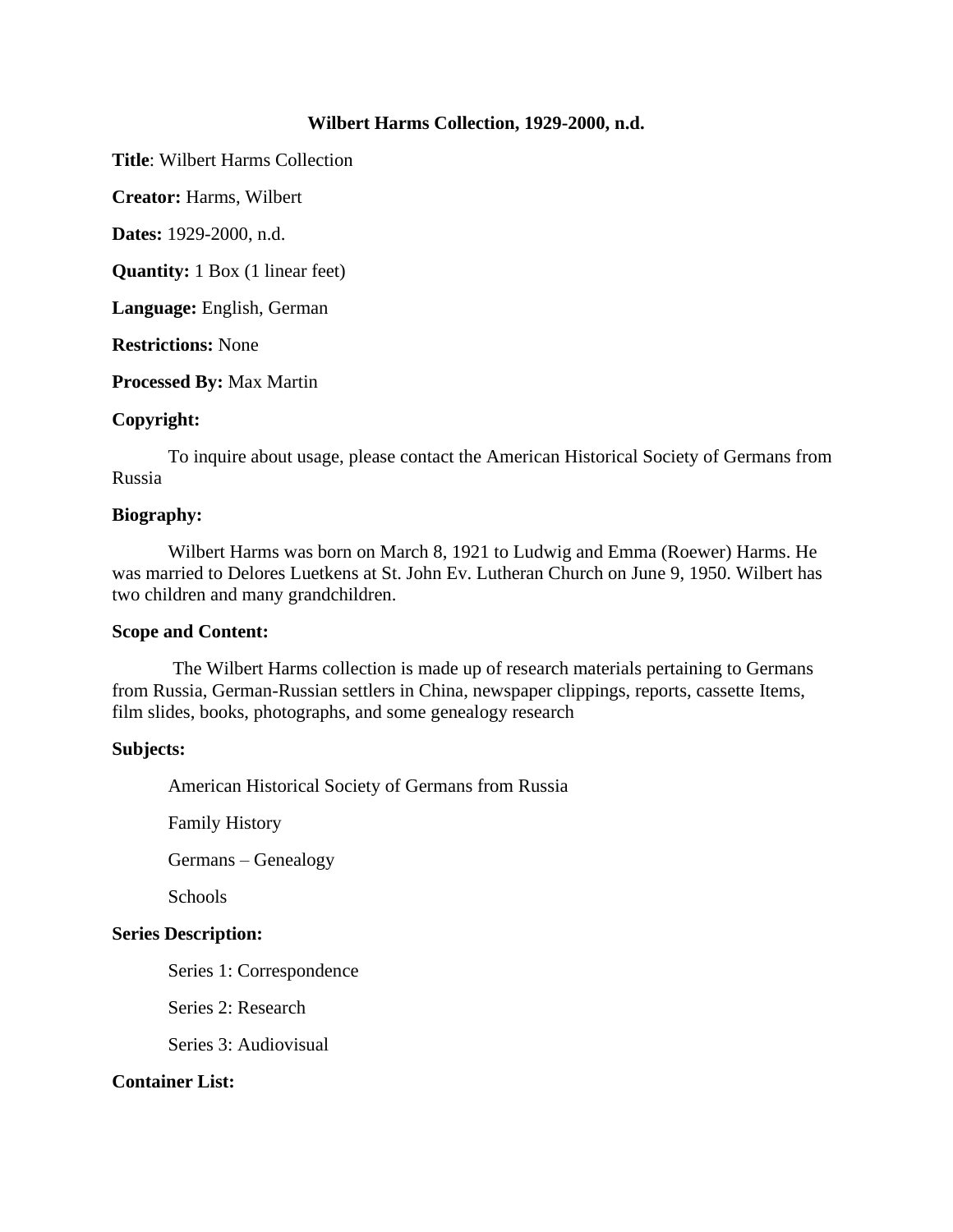## **Wilbert Harms Collection, 1929-2000, n.d.**

**Title**: Wilbert Harms Collection

**Creator:** Harms, Wilbert

**Dates:** 1929-2000, n.d.

**Quantity:** 1 Box (1 linear feet)

**Language:** English, German

**Restrictions:** None

**Processed By:** Max Martin

## **Copyright:**

To inquire about usage, please contact the American Historical Society of Germans from Russia

### **Biography:**

Wilbert Harms was born on March 8, 1921 to Ludwig and Emma (Roewer) Harms. He was married to Delores Luetkens at St. John Ev. Lutheran Church on June 9, 1950. Wilbert has two children and many grandchildren.

### **Scope and Content:**

The Wilbert Harms collection is made up of research materials pertaining to Germans from Russia, German-Russian settlers in China, newspaper clippings, reports, cassette Items, film slides, books, photographs, and some genealogy research

### **Subjects:**

American Historical Society of Germans from Russia

Family History

Germans – Genealogy

Schools

# **Series Description:**

Series 1: Correspondence

Series 2: Research

Series 3: Audiovisual

# **Container List:**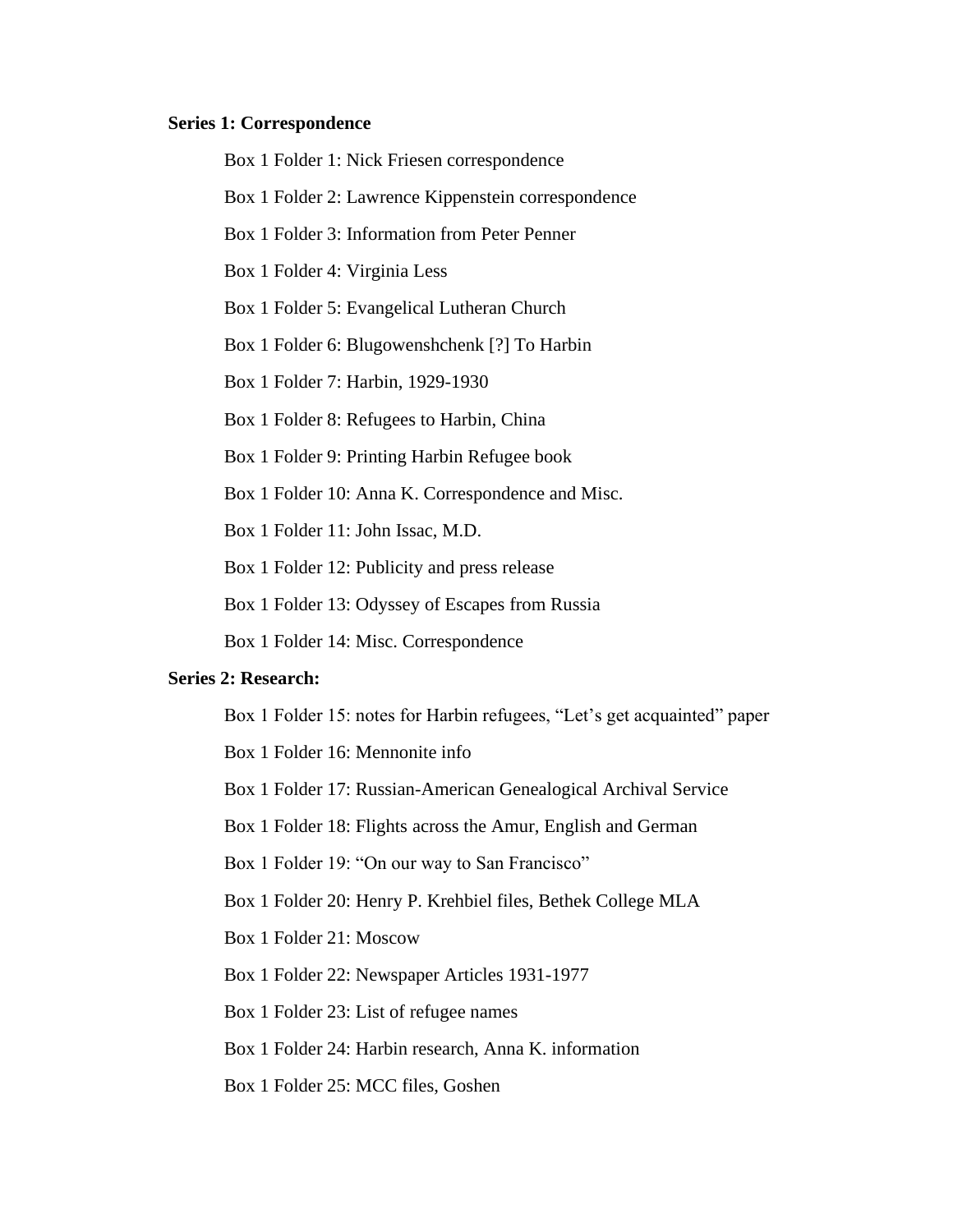#### **Series 1: Correspondence**

Box 1 Folder 1: Nick Friesen correspondence

Box 1 Folder 2: Lawrence Kippenstein correspondence

Box 1 Folder 3: Information from Peter Penner

Box 1 Folder 4: Virginia Less

Box 1 Folder 5: Evangelical Lutheran Church

Box 1 Folder 6: Blugowenshchenk [?] To Harbin

Box 1 Folder 7: Harbin, 1929-1930

Box 1 Folder 8: Refugees to Harbin, China

Box 1 Folder 9: Printing Harbin Refugee book

Box 1 Folder 10: Anna K. Correspondence and Misc.

Box 1 Folder 11: John Issac, M.D.

Box 1 Folder 12: Publicity and press release

Box 1 Folder 13: Odyssey of Escapes from Russia

Box 1 Folder 14: Misc. Correspondence

#### **Series 2: Research:**

Box 1 Folder 15: notes for Harbin refugees, "Let's get acquainted" paper Box 1 Folder 16: Mennonite info Box 1 Folder 17: Russian-American Genealogical Archival Service Box 1 Folder 18: Flights across the Amur, English and German Box 1 Folder 19: "On our way to San Francisco" Box 1 Folder 20: Henry P. Krehbiel files, Bethek College MLA Box 1 Folder 21: Moscow Box 1 Folder 22: Newspaper Articles 1931-1977 Box 1 Folder 23: List of refugee names Box 1 Folder 24: Harbin research, Anna K. information

Box 1 Folder 25: MCC files, Goshen